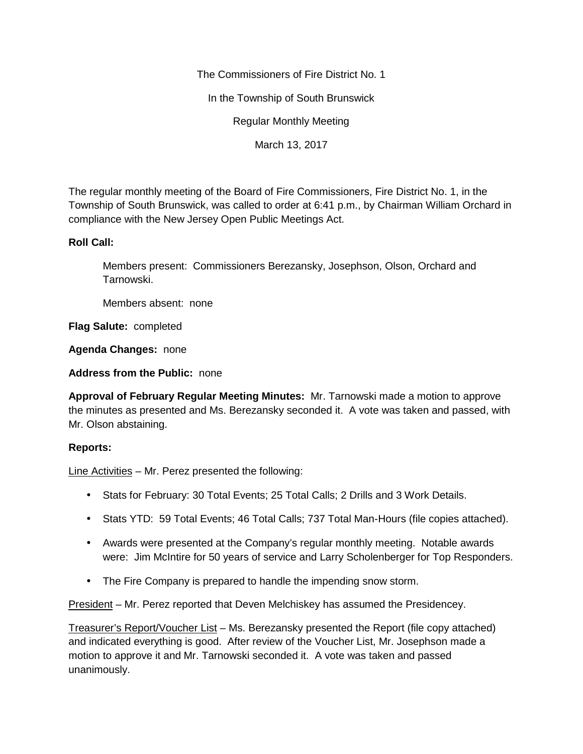The Commissioners of Fire District No. 1

In the Township of South Brunswick

Regular Monthly Meeting

March 13, 2017

The regular monthly meeting of the Board of Fire Commissioners, Fire District No. 1, in the Township of South Brunswick, was called to order at 6:41 p.m., by Chairman William Orchard in compliance with the New Jersey Open Public Meetings Act.

## **Roll Call:**

Members present: Commissioners Berezansky, Josephson, Olson, Orchard and Tarnowski.

Members absent: none

**Flag Salute:** completed

**Agenda Changes:** none

**Address from the Public:** none

**Approval of February Regular Meeting Minutes:** Mr. Tarnowski made a motion to approve the minutes as presented and Ms. Berezansky seconded it. A vote was taken and passed, with Mr. Olson abstaining.

## **Reports:**

Line Activities – Mr. Perez presented the following:

- Stats for February: 30 Total Events; 25 Total Calls; 2 Drills and 3 Work Details.
- Stats YTD: 59 Total Events; 46 Total Calls; 737 Total Man-Hours (file copies attached).
- Awards were presented at the Company's regular monthly meeting. Notable awards were: Jim McIntire for 50 years of service and Larry Scholenberger for Top Responders.
- The Fire Company is prepared to handle the impending snow storm.

President – Mr. Perez reported that Deven Melchiskey has assumed the Presidencey.

Treasurer's Report/Voucher List – Ms. Berezansky presented the Report (file copy attached) and indicated everything is good. After review of the Voucher List, Mr. Josephson made a motion to approve it and Mr. Tarnowski seconded it. A vote was taken and passed unanimously.